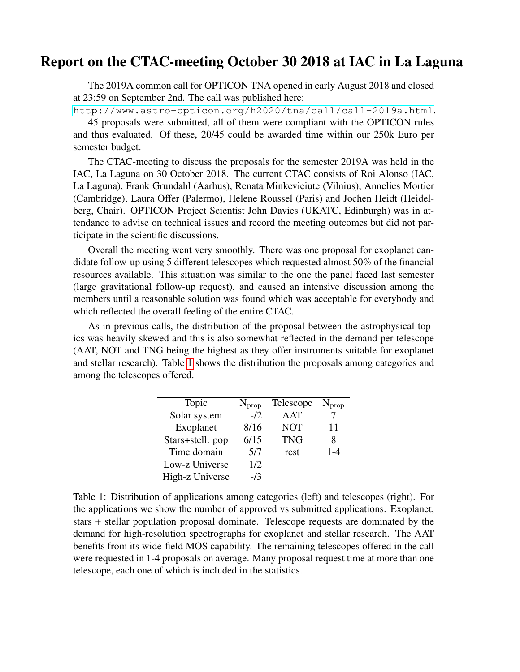## Report on the CTAC-meeting October 30 2018 at IAC in La Laguna

The 2019A common call for OPTICON TNA opened in early August 2018 and closed at 23:59 on September 2nd. The call was published here:

<http://www.astro-opticon.org/h2020/tna/call/call-2019a.html>. 45 proposals were submitted, all of them were compliant with the OPTICON rules and thus evaluated. Of these, 20/45 could be awarded time within our 250k Euro per semester budget.

The CTAC-meeting to discuss the proposals for the semester 2019A was held in the IAC, La Laguna on 30 October 2018. The current CTAC consists of Roi Alonso (IAC, La Laguna), Frank Grundahl (Aarhus), Renata Minkeviciute (Vilnius), Annelies Mortier (Cambridge), Laura Offer (Palermo), Helene Roussel (Paris) and Jochen Heidt (Heidelberg, Chair). OPTICON Project Scientist John Davies (UKATC, Edinburgh) was in attendance to advise on technical issues and record the meeting outcomes but did not participate in the scientific discussions.

Overall the meeting went very smoothly. There was one proposal for exoplanet candidate follow-up using 5 different telescopes which requested almost 50% of the financial resources available. This situation was similar to the one the panel faced last semester (large gravitational follow-up request), and caused an intensive discussion among the members until a reasonable solution was found which was acceptable for everybody and which reflected the overall feeling of the entire CTAC.

As in previous calls, the distribution of the proposal between the astrophysical topics was heavily skewed and this is also somewhat reflected in the demand per telescope (AAT, NOT and TNG being the highest as they offer instruments suitable for exoplanet and stellar research). Table [1](#page-0-0) shows the distribution the proposals among categories and among the telescopes offered.

| Topic            | prop  | Telescope  |         |
|------------------|-------|------------|---------|
| Solar system     | $-12$ | AAT        |         |
| Exoplanet        | 8/16  | <b>NOT</b> | 11      |
| Stars+stell. pop | 6/15  | <b>TNG</b> | 8       |
| Time domain      | 5/7   | rest       | $1 - 4$ |
| Low-z Universe   | 1/2   |            |         |
| High-z Universe  | -13   |            |         |

<span id="page-0-0"></span>Table 1: Distribution of applications among categories (left) and telescopes (right). For the applications we show the number of approved vs submitted applications. Exoplanet, stars + stellar population proposal dominate. Telescope requests are dominated by the demand for high-resolution spectrographs for exoplanet and stellar research. The AAT benefits from its wide-field MOS capability. The remaining telescopes offered in the call were requested in 1-4 proposals on average. Many proposal request time at more than one telescope, each one of which is included in the statistics.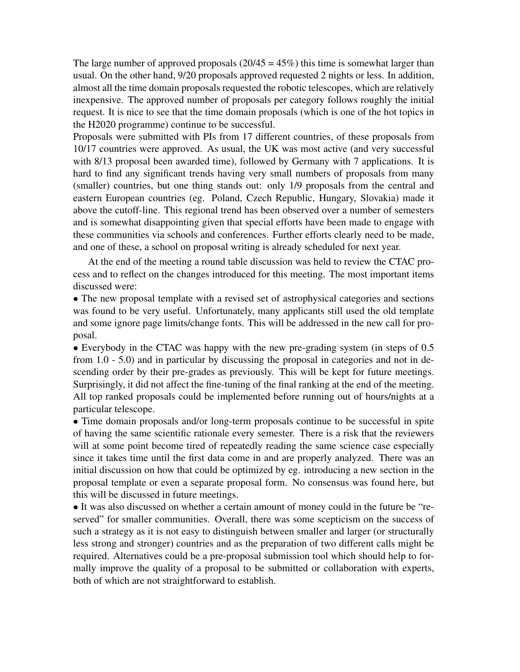The large number of approved proposals  $(20/45 = 45%)$  this time is somewhat larger than usual. On the other hand, 9/20 proposals approved requested 2 nights or less. In addition, almost all the time domain proposals requested the robotic telescopes, which are relatively inexpensive. The approved number of proposals per category follows roughly the initial request. It is nice to see that the time domain proposals (which is one of the hot topics in the H2020 programme) continue to be successful.

Proposals were submitted with PIs from 17 different countries, of these proposals from 10/17 countries were approved. As usual, the UK was most active (and very successful with 8/13 proposal been awarded time), followed by Germany with 7 applications. It is hard to find any significant trends having very small numbers of proposals from many (smaller) countries, but one thing stands out: only 1/9 proposals from the central and eastern European countries (eg. Poland, Czech Republic, Hungary, Slovakia) made it above the cutoff-line. This regional trend has been observed over a number of semesters and is somewhat disappointing given that special efforts have been made to engage with these communities via schools and conferences. Further efforts clearly need to be made, and one of these, a school on proposal writing is already scheduled for next year.

At the end of the meeting a round table discussion was held to review the CTAC process and to reflect on the changes introduced for this meeting. The most important items discussed were:

• The new proposal template with a revised set of astrophysical categories and sections was found to be very useful. Unfortunately, many applicants still used the old template and some ignore page limits/change fonts. This will be addressed in the new call for proposal.

• Everybody in the CTAC was happy with the new pre-grading system (in steps of 0.5) from 1.0 - 5.0) and in particular by discussing the proposal in categories and not in descending order by their pre-grades as previously. This will be kept for future meetings. Surprisingly, it did not affect the fine-tuning of the final ranking at the end of the meeting. All top ranked proposals could be implemented before running out of hours/nights at a particular telescope.

• Time domain proposals and/or long-term proposals continue to be successful in spite of having the same scientific rationale every semester. There is a risk that the reviewers will at some point become tired of repeatedly reading the same science case especially since it takes time until the first data come in and are properly analyzed. There was an initial discussion on how that could be optimized by eg. introducing a new section in the proposal template or even a separate proposal form. No consensus was found here, but this will be discussed in future meetings.

• It was also discussed on whether a certain amount of money could in the future be "reserved" for smaller communities. Overall, there was some scepticism on the success of such a strategy as it is not easy to distinguish between smaller and larger (or structurally less strong and stronger) countries and as the preparation of two different calls might be required. Alternatives could be a pre-proposal submission tool which should help to formally improve the quality of a proposal to be submitted or collaboration with experts, both of which are not straightforward to establish.